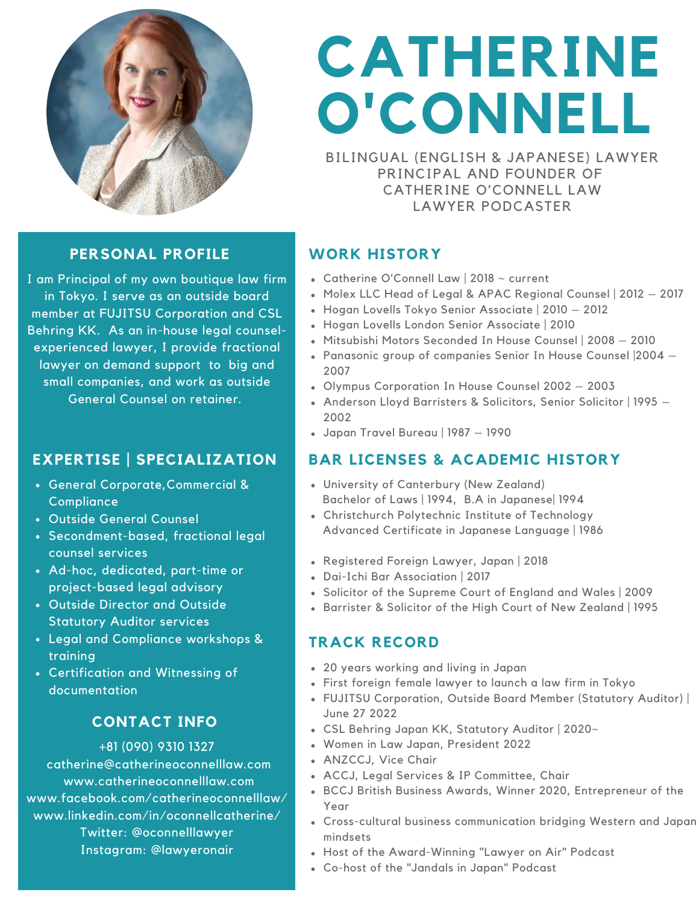

# **CATHERINE O'CONNELL**

BILINGUAL (ENGLISH & JAPANESE) LAWYER PRINCIPAL AND FOUNDER OF CATHERINE O'CONNELL LAW LAWYER PODCASTER

### **PERSONAL PROFILE**

I am Principal of my own boutique law firm in Tokyo. I serve as an outside board member at FUJITSU Corporation and CSL Behring KK. As an in-house legal counselexperienced lawyer, I provide fractional lawyer on demand support to big and small companies, and work as outside General Counsel on retainer.

### **EXPERTISE | SPECIALIZATION**

- General Corporate,Commercial & **Compliance**
- Outside General Counsel
- Secondment-based, fractional legal counsel services
- Ad-hoc, dedicated, part-time or project-based legal advisory
- Outside Director and Outside Statutory Auditor services
- Legal and Compliance workshops & training
- Certification and Witnessing of documentation

### **CONTACT INFO**

#### +81 (090) 9310 1327

catherine@catherineoconnelllaw.com www.catherineoconnelllaw.com www.facebook.com/catherineoconnelllaw/ www.linkedin.com/in/oconnellcatherine/ Twitter: @oconnelllawyer Instagram: @lawyeronair

## **WORK HISTORY**

- Catherine O'Connell Law | 2018 ~ current
- Molex LLC Head of Legal & APAC Regional Counsel | 2012 2017
- Hogan Lovells Tokyo Senior Associate | 2010 2012
- Hogan Lovells London Senior Associate | 2010
- Mitsubishi Motors Seconded In House Counsel | 2008 2010
- Panasonic group of companies Senior In House Counsel |2004 2007
- Olympus Corporation In House Counsel 2002 2003
- Anderson Lloyd Barristers & Solicitors, Senior Solicitor | 1995 2002
- Japan Travel Bureau | 1987 1990

### **BAR LICENSES & ACADEMIC HISTORY**

- University of Canterbury (New Zealand) Bachelor of Laws | 1994, B.A in Japanese| 1994
- Christchurch Polytechnic Institute of Technology Advanced Certificate in Japanese Language | 1986
- Registered Foreign Lawyer, Japan | 2018
- Dai-Ichi Bar Association | 2017
- Solicitor of the Supreme Court of England and Wales | 2009
- Barrister & Solicitor of the High Court of New Zealand | 1995

### **TRACK RECORD**

- 20 years working and living in Japan
- First foreign female lawyer to launch a law firm in Tokyo
- FUJITSU Corporation, Outside Board Member (Statutory Auditor) | June 27 2022
- CSL Behring Japan KK, Statutory Auditor | 2020~
- Women in Law Japan, President 2022
- ANZCCJ, Vice Chair
- ACCJ, Legal Services & IP Committee, Chair
- BCCJ British Business Awards, Winner 2020, Entrepreneur of the Year
- Cross-cultural business communication bridging Western and Japan mindsets
- Host of the Award-Winning "Lawyer on Air" Podcast
- Co-host of the "Jandals in Japan" Podcast